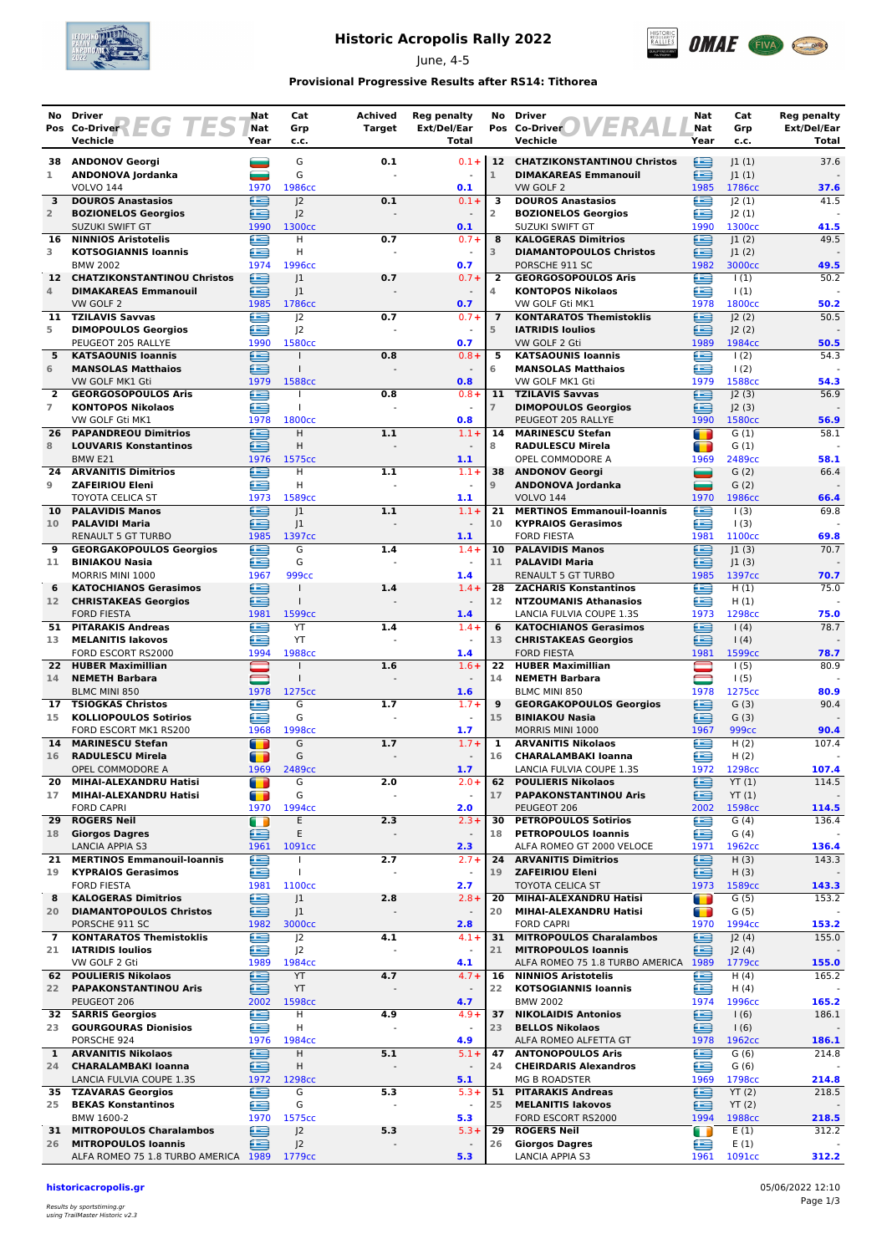

# **Historic Acropolis Rally 2022**

June, 4-5



### **Provisional Progressive Results after RS14: Tithorea**

| No.                 | Driver                                                      | Nat            | Cat                                  | Achived               | <b>Reg penalty</b>                  | No                      | <b>Driver</b>                                                      | Nat                 | Cat                       | Reg penalty          |
|---------------------|-------------------------------------------------------------|----------------|--------------------------------------|-----------------------|-------------------------------------|-------------------------|--------------------------------------------------------------------|---------------------|---------------------------|----------------------|
|                     | Pos Co-Driver 2 EG TES<br>Vechicle                          | Nat<br>Year    | Grp<br>c.c.                          | <b>Target</b>         | Ext/Del/Ear<br>Total                |                         | Pos Co-Driver<br>Vechicle                                          | Nat<br>Year         | Grp<br>c.c.               | Ext/Del/Ear<br>Total |
| 38                  | <b>ANDONOV Georgi</b>                                       | and a          | G                                    | 0.1                   | $0.1 +$                             |                         | 12 CHATZIKONSTANTINOU Christos                                     | ≘                   | 1(1)                      | 37.6                 |
| 1                   | ANDONOVA Jordanka                                           |                | G                                    |                       |                                     | $\mathbf{1}$            | <b>DIMAKAREAS Emmanouil</b>                                        | £                   | 1(1)                      |                      |
|                     | <b>VOLVO 144</b>                                            | 1970           | 1986cc                               |                       | 0.1                                 |                         | VW GOLF 2                                                          | 1985                | 1786cc                    | 37.6                 |
| 3<br>$\overline{2}$ | <b>DOUROS Anastasios</b><br><b>BOZIONELOS Georgios</b>      | œ<br>£         | 2<br>J <sub>2</sub>                  | 0.1                   | $0.1 +$                             | 3<br>$\overline{2}$     | <b>DOUROS Anastasios</b><br><b>BOZIONELOS Georgios</b>             | ≘<br>œ              | 2(1) <br> 2(1)            | 41.5                 |
|                     | <b>SUZUKI SWIFT GT</b>                                      | 1990           | 1300 <sub>cc</sub>                   |                       | 0.1                                 |                         | SUZUKI SWIFT GT                                                    | 1990                | 1300cc                    | 41.5                 |
| 16                  | <b>NINNIOS Aristotelis</b>                                  | Œ              | H                                    | 0.7                   | $0.7 +$                             | 8                       | <b>KALOGERAS Dimitrios</b>                                         | £                   | 1(2)                      | 49.5                 |
| 3                   | <b>KOTSOGIANNIS Ioannis</b><br><b>BMW 2002</b>              | £<br>1974      | H<br>1996cc                          |                       | $\sim$<br>0.7                       | 3                       | <b>DIAMANTOPOULOS Christos</b><br>PORSCHE 911 SC                   | œ<br>1982           | 1(2) <br>3000cc           | 49.5                 |
| 12 <sup>7</sup>     | <b>CHATZIKONSTANTINOU Christos</b>                          | ∈              | 1                                    | 0.7                   | $0.7 +$                             | $\overline{\mathbf{2}}$ | <b>GEORGOSOPOULOS Aris</b>                                         | œ                   | $\vert$ (1)               | 50.2                 |
| 4                   | <b>DIMAKAREAS Emmanouil</b>                                 | è              | J1                                   |                       |                                     | 4                       | <b>KONTOPOS Nikolaos</b>                                           | £                   | $\vert$ (1)               |                      |
| 11                  | VW GOLF 2<br><b>TZILAVIS Savvas</b>                         | 1985<br>£      | 1786cc<br> 2                         | 0.7                   | 0.7<br>$0.7 +$                      | $\overline{7}$          | VW GOLF Gti MK1<br><b>KONTARATOS Themistoklis</b>                  | 1978<br>£           | 1800cc<br>J2(2)           | 50.2<br>50.5         |
| 5                   | <b>DIMOPOULOS Georgios</b>                                  | æ              | J <sup>2</sup>                       |                       |                                     | 5                       | <b>IATRIDIS loulios</b>                                            | œ                   | 2(2)                      |                      |
|                     | PEUGEOT 205 RALLYE                                          | 1990           | 1580cc                               |                       | 0.7                                 |                         | VW GOLF 2 Gti                                                      | 1989                | 1984cc                    | 50.5                 |
| 5<br>6              | <b>KATSAOUNIS Ioannis</b><br><b>MANSOLAS Matthaios</b>      | æ<br>≘         | $\mathbf{I}$                         | 0.8                   | $0.8 +$<br>$\blacksquare$           | 5<br>6                  | <b>KATSAOUNIS Ioannis</b><br><b>MANSOLAS Matthaios</b>             | œ<br>œ              | 1(2)<br>$\frac{1(2)}{2}$  | 54.3                 |
|                     | VW GOLF MK1 Gti                                             | 1979           | 1588cc                               |                       | 0.8                                 |                         | VW GOLF MK1 Gti                                                    | 1979                | 1588cc                    | 54.3                 |
| $\overline{2}$      | <b>GEORGOSOPOULOS Aris</b>                                  | €              |                                      | 0.8                   | $0.8 +$                             | 11                      | <b>TZILAVIS Savvas</b>                                             | ≘                   | J2(3)                     | 56.9                 |
| $\overline{7}$      | <b>KONTOPOS Nikolaos</b><br>VW GOLF Gti MK1                 | £<br>1978      | T<br>1800cc                          |                       | 0.8                                 | $\overline{7}$          | <b>DIMOPOULOS Georgios</b><br>PEUGEOT 205 RALLYE                   | ≘<br>1990           | J2(3)<br>1580cc           | 56.9                 |
| 26                  | <b>PAPANDREOU Dimitrios</b>                                 | £              | H.                                   | 1.1                   | $1.1 +$                             | 14                      | <b>MARINESCU Stefan</b>                                            | T                   | G(1)                      | 58.1                 |
| 8                   | <b>LOUVARIS Konstantinos</b>                                | æ              | Н                                    |                       |                                     | 8                       | <b>RADULESCU Mirela</b>                                            | m                   | G(1)                      |                      |
|                     | BMW <sub>E21</sub>                                          | 1976           | 1575cc                               |                       | 1.1                                 |                         | OPEL COMMODORE A                                                   | 1969                | 2489cc                    | 58.1                 |
| 24<br>9             | <b>ARVANITIS Dimitrios</b><br><b>ZAFEIRIOU Eleni</b>        | ∈<br>£         | H<br>H                               | 1.1                   | $1.1 +$<br>$\overline{\phantom{a}}$ | 38<br>$\mathsf 9$       | <b>ANDONOV Georgi</b><br>ANDONOVA Jordanka                         | ▄<br>═              | G(2)<br>G(2)              | 66.4                 |
|                     | <b>TOYOTA CELICA ST</b>                                     | 1973           | 1589cc                               |                       | 1.1                                 |                         | <b>VOLVO 144</b>                                                   | 1970                | 1986cc                    | 66.4                 |
| 10                  | <b>PALAVIDIS Manos</b>                                      | œ              | 1                                    | 1.1                   | $1.1 +$                             | 21                      | <b>MERTINOS Emmanouil-Ioannis</b>                                  | œ                   | 1(3)                      | 69.8                 |
| 10                  | <b>PALAVIDI Maria</b><br>RENAULT 5 GT TURBO                 | e<br>1985      | J1<br>1397cc                         |                       | 1.1                                 | 10                      | <b>KYPRAIOS Gerasimos</b><br><b>FORD FIESTA</b>                    | œ<br>1981           | $\vert$ (3)<br>1100cc     | 69.8                 |
| 9                   | <b>GEORGAKOPOULOS Georgios</b>                              | £              | G                                    | 1.4                   | $1.4 +$                             | 10                      | <b>PALAVIDIS Manos</b>                                             | E                   | 1(3)                      | 70.7                 |
| 11                  | <b>BINIAKOU Nasia</b>                                       | £              | G                                    |                       |                                     | 11                      | <b>PALAVIDI Maria</b>                                              | ≘                   | 1(3)                      |                      |
| 6                   | MORRIS MINI 1000<br><b>KATOCHIANOS Gerasimos</b>            | 1967<br>∈      | 999 <sub>cc</sub><br>$\mathbf{I}$    | 1.4                   | 1.4<br>$1.4 +$                      | 28                      | <b>RENAULT 5 GT TURBO</b><br><b>ZACHARIS Konstantinos</b>          | 1985<br>£           | 1397cc<br>H(1)            | 70.7<br>75.0         |
| 12 <sup>2</sup>     | <b>CHRISTAKEAS Georgios</b>                                 | æ              | $\mathbf{I}$                         |                       |                                     | 12                      | <b>NTZOUMANIS Athanasios</b>                                       | œ                   | H(1)                      |                      |
|                     | <b>FORD FIESTA</b>                                          | 1981           | 1599 <sub>cc</sub>                   |                       | 1.4                                 |                         | LANCIA FULVIA COUPE 1.3S                                           | 1973                | 1298cc                    | 75.0                 |
| 51<br>13            | <b>PITARAKIS Andreas</b><br><b>MELANITIS lakovos</b>        | £<br>£         | YT<br>YT                             | 1.4                   | $1.4 +$                             | 6<br>13                 | <b>KATOCHIANOS Gerasimos</b><br><b>CHRISTAKEAS Georgios</b>        | œ<br>œ              | 1(4)<br>$\left(4\right)$  | 78.7                 |
|                     | FORD ESCORT RS2000                                          | 1994           | 1988cc                               |                       | 1.4                                 |                         | <b>FORD FIESTA</b>                                                 | 1981                | 1599cc                    | 78.7                 |
| 22                  | <b>HUBER Maximillian</b>                                    |                |                                      | 1.6                   | $1.6+$                              | 22                      | <b>HUBER Maximillian</b>                                           |                     | 1(5)                      | 80.9                 |
| 14                  | <b>NEMETH Barbara</b><br><b>BLMC MINI 850</b>               | 1978           | $\mathbf{I}$<br>1275cc               |                       | $\overline{\phantom{a}}$<br>1.6     | 14                      | <b>NEMETH Barbara</b><br>BLMC MINI 850                             | 1978                | 1(5)<br>1275cc            | 80.9                 |
| 17                  | <b>TSIOGKAS Christos</b>                                    | œ              | G                                    | 1.7                   | $1.7 +$                             | $\overline{9}$          | <b>GEORGAKOPOULOS Georgios</b>                                     | £                   | G(3)                      | 90.4                 |
| 15                  | <b>KOLLIOPOULOS Sotirios</b>                                | £              | G                                    |                       | $\blacksquare$                      | 15                      | <b>BINIAKOU Nasia</b>                                              | œ                   | G(3)                      |                      |
| 14                  | FORD ESCORT MK1 RS200<br><b>MARINESCU Stefan</b>            | 1968<br>т      | 1998cc<br>G                          | 1.7                   | 1.7<br>$1.7 +$                      | 1                       | MORRIS MINI 1000<br><b>ARVANITIS Nikolaos</b>                      | 1967<br>∈           | 999 <sub>cc</sub><br>H(2) | 90.4<br>107.4        |
| 16                  | <b>RADULESCU Mirela</b>                                     | m              | G                                    |                       |                                     | 16                      | <b>CHARALAMBAKI Ioanna</b>                                         | ≘                   | H(2)                      |                      |
|                     | OPEL COMMODORE A                                            | 1969           | 2489 <sub>cc</sub>                   |                       | 1.7                                 |                         | LANCIA FULVIA COUPE 1.3S                                           | 1972                | 1298cc                    | 107.4                |
| 20<br>17            | MIHAI-ALEXANDRU Hatisi<br>MIHAI-ALEXANDRU Hatisi            | O              | G<br>G                               | 2.0<br>$\overline{a}$ | $2.0+$<br>$\overline{\phantom{a}}$  | 62<br>17                | <b>POULIERIS Nikolaos</b><br><b>PAPAKONSTANTINOU Aris</b>          | ≘<br>≘              | YT(1)                     | 114.5                |
|                     | <b>FORD CAPRI</b>                                           | m<br>1970      | 1994cc                               |                       | 2.0                                 |                         | PEUGEOT 206                                                        | 2002                | YT(1)<br>1598cc           | 114.5                |
| 29                  | <b>ROGERS Neil</b>                                          | $\blacksquare$ | E                                    | 2.3                   | $2.3 +$                             | 30                      | <b>PETROPOULOS Sotirios</b>                                        | e                   | G(4)                      | 136.4                |
| 18                  | <b>Giorgos Dagres</b>                                       | ≘              | Ε                                    |                       | $\overline{\phantom{a}}$            | 18                      | <b>PETROPOULOS Ioannis</b><br>ALFA ROMEO GT 2000 VELOCE            | ≘                   | G(4)                      |                      |
| 21                  | <b>LANCIA APPIA S3</b><br><b>MERTINOS Emmanouil-Ioannis</b> | 1961<br>⊜      | 1091cc                               | 2.7                   | 2.3<br>$2.7 +$                      | 24                      | <b>ARVANITIS Dimitrios</b>                                         | 1971<br>≘           | 1962cc<br>H(3)            | 136.4<br>143.3       |
| 19                  | <b>KYPRAIOS Gerasimos</b>                                   | œ              | $\mathbf{I}$                         |                       | $\bar{a}$                           | 19                      | <b>ZAFEIRIOU Eleni</b>                                             | ≘                   | H(3)                      |                      |
|                     | <b>FORD FIESTA</b><br><b>KALOGERAS Dimitrios</b>            | 1981<br>≘      | 1100cc                               |                       | 2.7<br>$2.8 +$                      |                         | <b>TOYOTA CELICA ST</b>                                            | 1973                | 1589cc<br>G(5)            | 143.3<br>153.2       |
| 8<br>20             | <b>DIAMANTOPOULOS Christos</b>                              | œ              | J1<br>J <sub>1</sub>                 | 2.8                   | $\overline{\phantom{a}}$            | 20<br>20                | MIHAI-ALEXANDRU Hatisi<br>MIHAI-ALEXANDRU Hatisi                   | $\blacksquare$<br>т | G(5)                      |                      |
|                     | PORSCHE 911 SC                                              | 1982           | 3000cc                               |                       | 2.8                                 |                         | <b>FORD CAPRI</b>                                                  | 1970                | 1994cc                    | 153.2                |
| 7                   | <b>KONTARATOS Themistoklis</b><br><b>IATRIDIS Ioulios</b>   | £              | J <sub>2</sub>                       | 4.1                   | $4.1 +$                             | 31                      | <b>MITROPOULOS Charalambos</b>                                     | ≘                   | J2(4)                     | 155.0                |
| 21                  | VW GOLF 2 Gti                                               | ∈<br>1989      | J <sub>2</sub><br>1984 <sub>cc</sub> |                       | 4.1                                 | 21                      | <b>MITROPOULOS Ioannis</b><br>ALFA ROMEO 75 1.8 TURBO AMERICA 1989 | ≘                   | J2(4)<br>1779cc           | 155.0                |
|                     | 62 POULIERIS Nikolaos                                       | e              | YT                                   | 4.7                   | $4.7 +$                             | 16                      | <b>NINNIOS Aristotelis</b>                                         | ⊜                   | H(4)                      | 165.2                |
| 22                  | <b>PAPAKONSTANTINOU Aris</b>                                | ≘              | YT                                   |                       |                                     | 22                      | <b>KOTSOGIANNIS Ioannis</b>                                        | œ                   | H(4)                      |                      |
|                     | PEUGEOT 206<br>32 SARRIS Georgios                           | 2002<br>€      | 1598cc<br>н                          | 4.9                   | 4.7<br>$4.9 +$                      | 37                      | <b>BMW 2002</b><br><b>NIKOLAIDIS Antonios</b>                      | 1974<br>鱼           | 1996cc<br>1(6)            | 165.2<br>186.1       |
| 23                  | <b>GOURGOURAS Dionisios</b>                                 | ≘              | Η                                    | $\overline{a}$        | $\blacksquare$                      | 23                      | <b>BELLOS Nikolaos</b>                                             | ≘                   | 1(6)                      |                      |
|                     | PORSCHE 924                                                 | 1976           | 1984cc                               |                       | 4.9                                 |                         | ALFA ROMEO ALFETTA GT                                              | 1978                | 1962cc                    | 186.1                |
| $\mathbf{1}$<br>24  | <b>ARVANITIS Nikolaos</b><br><b>CHARALAMBAKI Ioanna</b>     | £<br>≘         | н<br>Η                               | 5.1                   | $5.1+$<br>$\overline{\phantom{a}}$  | 47<br>24                | <b>ANTONOPOULOS Aris</b><br><b>CHEIRDARIS Alexandros</b>           | ≘<br>œ              | G(6)<br>G(6)              | 214.8                |
|                     | LANCIA FULVIA COUPE 1.3S                                    | 1972           | 1298cc                               |                       | 5.1                                 |                         | <b>MG B ROADSTER</b>                                               | 1969                | 1798cc                    | 214.8                |
|                     | 35 TZAVARAS Georgios                                        | œ              | G                                    | 5.3                   | $5.3+$                              | 51                      | <b>PITARAKIS Andreas</b>                                           | €                   | YT(2)                     | 218.5                |
| 25                  | <b>BEKAS Konstantinos</b><br>BMW 1600-2                     | ≘<br>1970      | G<br>1575cc                          |                       | $\sim$<br>5.3                       | 25                      | <b>MELANITIS lakovos</b><br>FORD ESCORT RS2000                     | ≘<br>1994           | YT(2)<br>1988cc           | 218.5                |
| 31                  | <b>MITROPOULOS Charalambos</b>                              | €              | J <sup>2</sup>                       | 5.3                   | $5.3+$                              | 29                      | <b>ROGERS Neil</b>                                                 | Œ                   | E(1)                      | 312.2                |
| 26                  | <b>MITROPOULOS Ioannis</b>                                  | æ              | J <sub>2</sub>                       |                       |                                     | 26                      | <b>Giorgos Dagres</b>                                              | £                   | E(1)                      |                      |
|                     | ALFA ROMEO 75 1.8 TURBO AMERICA 1989                        |                | 1779 <sub>cc</sub>                   |                       | 5.3                                 |                         | <b>LANCIA APPIA S3</b>                                             | 1961                | 1091cc                    | 312.2                |

**historicacropolis.gr** 05/06/2022 12:10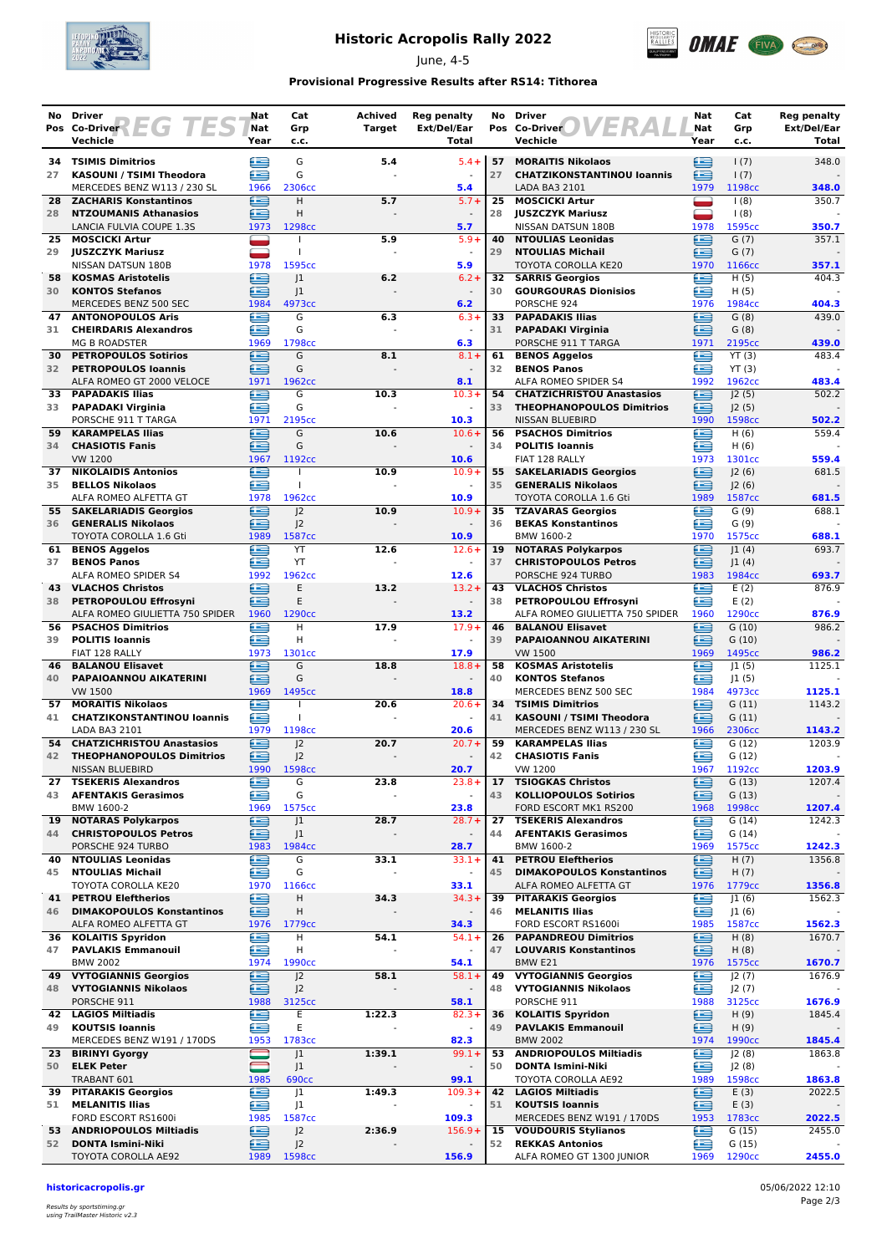

# **Historic Acropolis Rally 2022**

June, 4-5



### **Provisional Progressive Results after RS14: Tithorea**

| No       | Driver                                                          | Nat         | Cat                              | <b>Achived</b> | <b>Reg penalty</b>                |          | No Driver                                                     | Nat         | Cat                | <b>Reg penalty</b>          |
|----------|-----------------------------------------------------------------|-------------|----------------------------------|----------------|-----------------------------------|----------|---------------------------------------------------------------|-------------|--------------------|-----------------------------|
|          | EGI<br>ES<br>Pos Co-Driver<br>Vechicle                          | Nat<br>Year | Grp<br>c.c.                      | <b>Target</b>  | Ext/Del/Ear<br>Total              |          | Pos Co-Driver<br>Vechicle                                     | Nat<br>Year | Grp<br>c.c.        | <b>Ext/Del/Ear</b><br>Total |
|          |                                                                 |             |                                  |                |                                   |          |                                                               |             |                    |                             |
| 27       | <b>34 TSIMIS Dimitrios</b><br>KASOUNI / TSIMI Theodora          | ⊑<br>£      | G<br>G                           | 5.4            | $5.4 +$                           | 57<br>27 | <b>MORAITIS Nikolaos</b><br><b>CHATZIKONSTANTINOU loannis</b> | ≘<br>£      | 1(7)<br>1(7)       | 348.0                       |
|          | MERCEDES BENZ W113 / 230 SL                                     | 1966        | 2306cc                           |                | 5.4                               |          | LADA BA3 2101                                                 | 1979        | 1198cc             | 348.0                       |
| 28       | <b>ZACHARIS Konstantinos</b>                                    | ≘           | Н                                | 5.7            | $5.7+$                            | 25       | <b>MOSCICKI Artur</b>                                         |             | (8)                | 350.7                       |
| 28       | <b>NTZOUMANIS Athanasios</b>                                    | ≘           | H                                |                | $\overline{\phantom{a}}$          | 28       | <b>JUSZCZYK Mariusz</b>                                       | ۰           | (8)                |                             |
| 25       | LANCIA FULVIA COUPE 1.3S<br><b>MOSCICKI Artur</b>               | 1973        | 1298cc                           | 5.9            | 5.7<br>$5.9+$                     | 40       | NISSAN DATSUN 180B<br><b>NTOULIAS Leonidas</b>                | 1978<br>e   | 1595cc<br>G(7)     | 350.7<br>357.1              |
| 29       | <b>JUSZCZYK Mariusz</b>                                         |             | $\mathbf{I}$                     |                | $\blacksquare$                    | 29       | <b>NTOULIAS Michail</b>                                       | œ           | G(7)               |                             |
|          | <b>NISSAN DATSUN 180B</b>                                       | 1978        | 1595cc                           |                | 5.9                               |          | <b>TOYOTA COROLLA KE20</b>                                    | 1970        | 1166cc             | 357.1                       |
| 58       | <b>KOSMAS Aristotelis</b>                                       | ∈           | 1                                | 6.2            | $6.2 +$                           | 32       | <b>SARRIS Georgios</b>                                        | £           | H(5)               | 404.3                       |
| 30       | <b>KONTOS Stefanos</b><br>MERCEDES BENZ 500 SEC                 | ≘<br>1984   | 1<br>4973cc                      |                | 6.2                               | 30       | <b>GOURGOURAS Dionisios</b><br>PORSCHE 924                    | ≘<br>1976   | H(5)<br>1984cc     | 404.3                       |
| 47       | <b>ANTONOPOULOS Aris</b>                                        | œ           | G                                | 6.3            | $6.3 +$                           | 33       | <b>PAPADAKIS Ilias</b>                                        | œ           | G(8)               | 439.0                       |
| 31       | <b>CHEIRDARIS Alexandros</b>                                    | œ           | G                                |                | $\sim$                            | 31       | <b>PAPADAKI Virginia</b>                                      | £           | G(8)               |                             |
| 30       | <b>MG B ROADSTER</b><br><b>PETROPOULOS Sotirios</b>             | 1969<br>e   | 1798cc<br>G                      | 8.1            | 6.3<br>$8.1 +$                    | 61       | PORSCHE 911 T TARGA                                           | 1971<br>œ   | 2195cc<br>YT(3)    | 439.0<br>483.4              |
| 32       | <b>PETROPOULOS Ioannis</b>                                      | £           | G                                |                | $\blacksquare$                    | 32       | <b>BENOS Aggelos</b><br><b>BENOS Panos</b>                    | œ           | YT(3)              |                             |
|          | ALFA ROMEO GT 2000 VELOCE                                       | 1971        | 1962cc                           |                | 8.1                               |          | ALFA ROMEO SPIDER S4                                          | 1992        | 1962cc             | 483.4                       |
| 33       | <b>PAPADAKIS Ilias</b>                                          | ∈           | G                                | 10.3           | $10.3+$                           | 54       | <b>CHATZICHRISTOU Anastasios</b>                              | ≘           | J2(5)              | 502.2                       |
| 33       | <b>PAPADAKI Virginia</b><br>PORSCHE 911 T TARGA                 | æ           | G<br>2195cc                      |                |                                   | 33       | <b>THEOPHANOPOULOS Dimitrios</b>                              | œ<br>1990   | J2(5)              |                             |
| 59       | <b>KARAMPELAS Ilias</b>                                         | 1971<br>£   | G                                | 10.6           | 10.3<br>$10.6+$                   | 56       | NISSAN BLUEBIRD<br><b>PSACHOS Dimitrios</b>                   | £           | 1598cc<br>H(6)     | 502.2<br>559.4              |
| 34       | <b>CHASIOTIS Fanis</b>                                          | ≘           | G                                |                |                                   | 34       | <b>POLITIS Ioannis</b>                                        | œ           | H(6)               |                             |
|          | <b>VW 1200</b>                                                  | 1967        | 1192cc                           |                | 10.6                              |          | FIAT 128 RALLY                                                | 1973        | 1301cc             | 559.4                       |
| 37<br>35 | <b>NIKOLAIDIS Antonios</b><br><b>BELLOS Nikolaos</b>            | ≘<br>⋐      | $\mathbf{I}$                     | 10.9           | $10.9 +$                          | 55<br>35 | <b>SAKELARIADIS Georgios</b><br><b>GENERALIS Nikolaos</b>     | œ<br>£      | 2(6)               | 681.5                       |
|          | ALFA ROMEO ALFETTA GT                                           | 1978        | 1962cc                           |                | 10.9                              |          | TOYOTA COROLLA 1.6 Gti                                        | 1989        | 2(6) <br>1587cc    | 681.5                       |
|          | 55 SAKELARIADIS Georgios                                        | ⊜           | 2                                | 10.9           | $10.9+$                           | 35       | <b>TZAVARAS Georgios</b>                                      | œ           | G(9)               | 688.1                       |
| 36       | <b>GENERALIS Nikolaos</b>                                       | £           | J <sup>2</sup>                   |                |                                   | 36       | <b>BEKAS Konstantinos</b>                                     | œ           | G(9)               |                             |
| 61       | TOYOTA COROLLA 1.6 Gti                                          | 1989<br>f   | 1587cc<br>YT                     | 12.6           | 10.9<br>$12.6+$                   | 19       | BMW 1600-2<br><b>NOTARAS Polykarpos</b>                       | 1970<br>œ   | 1575cc<br>J1(4)    | 688.1<br>693.7              |
| 37       | <b>BENOS Aggelos</b><br><b>BENOS Panos</b>                      | £           | YT                               |                | $\sim$                            | 37       | <b>CHRISTOPOULOS Petros</b>                                   | ≘           | 1(4)               |                             |
|          | ALFA ROMEO SPIDER S4                                            | 1992        | 1962cc                           |                | 12.6                              |          | PORSCHE 924 TURBO                                             | 1983        | 1984cc             | 693.7                       |
| 43       | <b>VLACHOS Christos</b>                                         | ≘           | E                                | 13.2           | $13.2 +$                          | 43       | <b>VLACHOS Christos</b>                                       | ß           | E(2)               | 876.9                       |
| 38       | <b>PETROPOULOU Effrosyni</b><br>ALFA ROMEO GIULIETTA 750 SPIDER | ∈<br>1960   | E<br>1290 <sub>cc</sub>          |                | 13.2                              | 38       | PETROPOULOU Effrosyni<br>ALFA ROMEO GIULIETTA 750 SPIDER      | œ<br>1960   | E(2)<br>1290cc     | 876.9                       |
| 56       | <b>PSACHOS Dimitrios</b>                                        | ∈           | н                                | 17.9           | $17.9+$                           | 46       | <b>BALANOU Elisavet</b>                                       | ∈           | G(10)              | 986.2                       |
| 39       | <b>POLITIS Ioannis</b>                                          | æ           | Η                                |                |                                   | 39       | PAPAIOANNOU AIKATERINI                                        | œ           | G(10)              |                             |
|          | FIAT 128 RALLY                                                  | 1973        | 1301cc                           |                | 17.9                              |          | <b>VW 1500</b>                                                | 1969        | 1495cc             | 986.2                       |
| 46<br>40 | <b>BALANOU Elisavet</b><br>PAPAIOANNOU AIKATERINI               | €<br>≘      | G<br>G                           | 18.8           | $18.8 +$                          | 58<br>40 | <b>KOSMAS Aristotelis</b><br><b>KONTOS Stefanos</b>           | £<br>œ      | 1(5) <br>J1(5)     | 1125.1                      |
|          | <b>VW 1500</b>                                                  | 1969        | 1495cc                           |                | 18.8                              |          | MERCEDES BENZ 500 SEC                                         | 1984        | 4973cc             | 1125.1                      |
| 57       | <b>MORAITIS Nikolaos</b>                                        | Œ           |                                  | 20.6           | $20.6+$                           | 34       | <b>TSIMIS Dimitrios</b>                                       | £           | G(11)              | 1143.2                      |
| 41       | <b>CHATZIKONSTANTINOU loannis</b>                               | ≘           |                                  |                |                                   | 41       | KASOUNI / TSIMI Theodora                                      | £           | G(11)              |                             |
| 54       | LADA BA3 2101<br><b>CHATZICHRISTOU Anastasios</b>               | 1979<br>≘   | 1198cc<br>J <sub>2</sub>         | 20.7           | 20.6<br>$20.7 +$                  | 59       | MERCEDES BENZ W113 / 230 SL<br><b>KARAMPELAS Ilias</b>        | 1966<br>æ   | 2306cc<br>G(12)    | 1143.2<br>1203.9            |
| 42       | <b>THEOPHANOPOULOS Dimitrios</b>                                | ≘           | 2                                |                |                                   | 42       | <b>CHASIOTIS Fanis</b>                                        | £           | G(12)              |                             |
|          | NISSAN BLUEBIRD                                                 | 1990        | 1598cc                           |                | 20.7                              |          | <b>VW 1200</b>                                                | 1967        | 1192cc             | 1203.9                      |
| 27<br>43 | <b>TSEKERIS Alexandros</b><br><b>AFENTAKIS Gerasimos</b>        | ⊜<br>£      | G<br>G                           | 23.8           | $23.8+$<br>$\blacksquare$         | 17<br>43 | <b>TSIOGKAS Christos</b>                                      | ≘           | G(13)              | 1207.4                      |
|          | BMW 1600-2                                                      | 1969        | 1575cc                           |                | 23.8                              |          | <b>KOLLIOPOULOS Sotirios</b><br>FORD ESCORT MK1 RS200         | ∈<br>1968   | G(13)<br>1998cc    | 1207.4                      |
| 19       | <b>NOTARAS Polykarpos</b>                                       | œ           | J <sub>1</sub>                   | 28.7           | $28.7 +$                          | 27       | <b>TSEKERIS Alexandros</b>                                    | œ           | G(14)              | 1242.3                      |
| 44       | <b>CHRISTOPOULOS Petros</b>                                     | ≘           | J <sub>1</sub>                   |                |                                   | 44       | <b>AFENTAKIS Gerasimos</b>                                    | ≘           | G(14)              |                             |
| 40       | PORSCHE 924 TURBO<br><b>NTOULIAS Leonidas</b>                   | 1983<br>e   | 1984 <sub>cc</sub><br>G          | 33.1           | 28.7<br>$33.1+$                   | 41       | BMW 1600-2<br><b>PETROU Eleftherios</b>                       | 1969<br>≘   | 1575cc<br>H(7)     | 1242.3<br>1356.8            |
| 45       | <b>NTOULIAS Michail</b>                                         | ఆ           | G                                |                | $\overline{\phantom{a}}$          | 45       | <b>DIMAKOPOULOS Konstantinos</b>                              | ∈           | H(7)               |                             |
|          | TOYOTA COROLLA KE20                                             | 1970        | 1166cc                           |                | 33.1                              |          | ALFA ROMEO ALFETTA GT                                         | 1976        | 1779cc             | 1356.8                      |
| 41       | <b>PETROU Eleftherios</b>                                       | ⊟           | н                                | 34.3           | $34.3+$                           | 39       | <b>PITARAKIS Georgios</b>                                     | œ           | J1(6)              | 1562.3                      |
| 46       | <b>DIMAKOPOULOS Konstantinos</b><br>ALFA ROMEO ALFETTA GT       | ఆ<br>1976   | Н<br>1779 <sub>cc</sub>          |                | $\blacksquare$<br>34.3            | 46       | <b>MELANITIS Ilias</b><br>FORD ESCORT RS1600i                 | œ<br>1985   | J1(6)<br>1587cc    | 1562.3                      |
| 36       | <b>KOLAITIS Spyridon</b>                                        | €           | Н                                | 54.1           | $54.1+$                           | 26       | <b>PAPANDREOU Dimitrios</b>                                   | œ           | H(8)               | 1670.7                      |
| 47       | <b>PAVLAKIS Emmanouil</b>                                       | ≘           | Η                                |                |                                   | 47       | <b>LOUVARIS Konstantinos</b>                                  | ≘           | H(8)               |                             |
|          | <b>BMW 2002</b>                                                 | 1974        | 1990 <sub>cc</sub>               |                | 54.1                              |          | BMW E21                                                       | 1976        | 1575cc             | 1670.7                      |
| 49<br>48 | <b>VYTOGIANNIS Georgios</b><br><b>VYTOGIANNIS Nikolaos</b>      | œ<br>ఆ      | J <sub>2</sub><br>J <sup>2</sup> | 58.1           | $58.1+$                           | 49<br>48 | <b>VYTOGIANNIS Georgios</b><br><b>VYTOGIANNIS Nikolaos</b>    | œ<br>œ      | J2(7)<br>J2(7)     | 1676.9                      |
|          | PORSCHE 911                                                     | 1988        | 3125cc                           |                | 58.1                              |          | PORSCHE 911                                                   | 1988        | 3125cc             | 1676.9                      |
|          | 42 LAGIOS Miltiadis                                             | ⊟           | Ε                                | 1:22.3         | $82.3+$                           | 36       | <b>KOLAITIS Spyridon</b>                                      | ⊟           | H(9)               | 1845.4                      |
| 49       | <b>KOUTSIS Ioannis</b>                                          | ∈           | E                                |                |                                   | 49       | <b>PAVLAKIS Emmanouil</b>                                     | ⊜           | H(9)               |                             |
| 23       | MERCEDES BENZ W191 / 170DS<br><b>BIRINYI Gyorgy</b>             | 1953        | 1783cc<br>J1                     | 1:39.1         | 82.3<br>$99.1 +$                  | 53       | <b>BMW 2002</b><br><b>ANDRIOPOULOS Miltiadis</b>              | 1974<br>œ   | 1990cc<br>J2(8)    | 1845.4<br>1863.8            |
| 50       | <b>ELEK Peter</b>                                               |             | J <sub>1</sub>                   |                |                                   | 50       | <b>DONTA Ismini-Niki</b>                                      | £           | J2(8)              |                             |
|          | TRABANT 601                                                     | 1985        | <b>690cc</b>                     |                | 99.1                              |          | TOYOTA COROLLA AE92                                           | 1989        | 1598cc             | 1863.8                      |
| 39       | <b>PITARAKIS Georgios</b>                                       | œ           | J1                               | 1:49.3         | $109.3+$                          | 42       | <b>LAGIOS Miltiadis</b>                                       | ∈           | E(3)               | 2022.5                      |
| 51       | <b>MELANITIS Ilias</b><br>FORD ESCORT RS1600i                   | ∈<br>1985   | J <sub>1</sub><br>1587cc         |                | $\overline{\phantom{a}}$<br>109.3 | 51       | <b>KOUTSIS loannis</b><br>MERCEDES BENZ W191 / 170DS          | ≘<br>1953   | E(3)<br>1783cc     | 2022.5                      |
| 53       | <b>ANDRIOPOULOS Miltiadis</b>                                   | ⊜           | J <sub>2</sub>                   | 2:36.9         | $156.9+$                          | 15       | <b>VOUDOURIS Stylianos</b>                                    | ⊜           | G(15)              | 2455.0                      |
| 52       | <b>DONTA Ismini-Niki</b>                                        | ⊜           | J2                               |                |                                   | 52       | <b>REKKAS Antonios</b>                                        | œ           | G(15)              |                             |
|          | TOYOTA COROLLA AE92                                             | 1989        | 1598cc                           |                | 156.9                             |          | ALFA ROMEO GT 1300 JUNIOR                                     | 1969        | 1290 <sub>cc</sub> | 2455.0                      |

**historicacropolis.gr** 05/06/2022 12:10

Results by sportstiming.gr using TrailMaster Historic v2.3